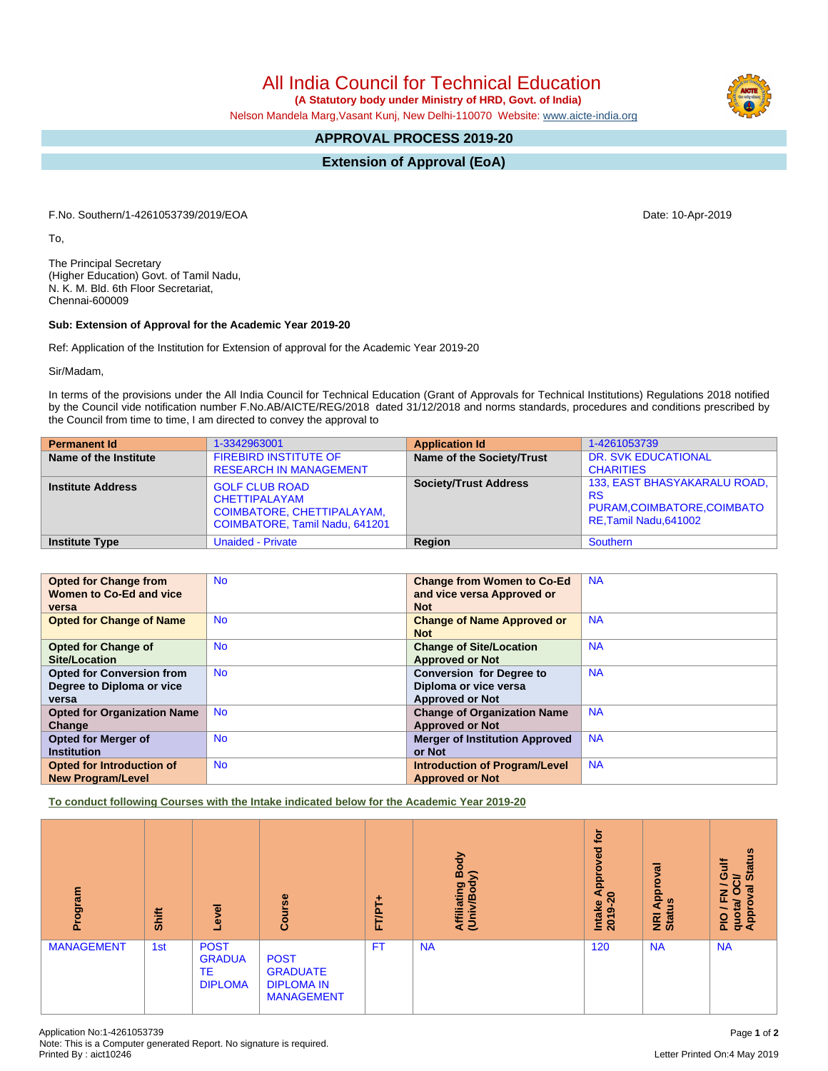All India Council for Technical Education

 **(A Statutory body under Ministry of HRD, Govt. of India)**

Nelson Mandela Marg,Vasant Kunj, New Delhi-110070 Website: [www.aicte-india.org](http://www.aicte-india.org)

## **APPROVAL PROCESS 2019-20**

**Extension of Approval (EoA)**

F.No. Southern/1-4261053739/2019/EOA Date: 10-Apr-2019

To,

The Principal Secretary (Higher Education) Govt. of Tamil Nadu, N. K. M. Bld. 6th Floor Secretariat, Chennai-600009

## **Sub: Extension of Approval for the Academic Year 2019-20**

Ref: Application of the Institution for Extension of approval for the Academic Year 2019-20

Sir/Madam,

In terms of the provisions under the All India Council for Technical Education (Grant of Approvals for Technical Institutions) Regulations 2018 notified by the Council vide notification number F.No.AB/AICTE/REG/2018 dated 31/12/2018 and norms standards, procedures and conditions prescribed by the Council from time to time, I am directed to convey the approval to

| <b>Permanent Id</b>      | 1-3342963001                                                                                           | <b>Application Id</b>        | 1-4261053739                                                                                       |
|--------------------------|--------------------------------------------------------------------------------------------------------|------------------------------|----------------------------------------------------------------------------------------------------|
| Name of the Institute    | <b>FIREBIRD INSTITUTE OF</b><br><b>RESEARCH IN MANAGEMENT</b>                                          | Name of the Society/Trust    | <b>DR. SVK EDUCATIONAL</b><br><b>CHARITIES</b>                                                     |
| <b>Institute Address</b> | <b>GOLF CLUB ROAD</b><br>CHETTIPALAYAM<br>COIMBATORE, CHETTIPALAYAM,<br>COIMBATORE, Tamil Nadu, 641201 | <b>Society/Trust Address</b> | 133, EAST BHASYAKARALU ROAD,<br><b>RS</b><br>PURAM, COIMBATORE, COIMBATO<br>RE, Tamil Nadu, 641002 |
| <b>Institute Type</b>    | <b>Unaided - Private</b>                                                                               | Region                       | Southern                                                                                           |

| <b>Opted for Change from</b>       | <b>No</b> | <b>Change from Women to Co-Ed</b>     | <b>NA</b> |
|------------------------------------|-----------|---------------------------------------|-----------|
| Women to Co-Ed and vice            |           | and vice versa Approved or            |           |
| versa                              |           | <b>Not</b>                            |           |
| <b>Opted for Change of Name</b>    | <b>No</b> | <b>Change of Name Approved or</b>     | <b>NA</b> |
|                                    |           | <b>Not</b>                            |           |
| <b>Opted for Change of</b>         | <b>No</b> | <b>Change of Site/Location</b>        | <b>NA</b> |
| Site/Location                      |           | <b>Approved or Not</b>                |           |
| <b>Opted for Conversion from</b>   | <b>No</b> | <b>Conversion for Degree to</b>       | <b>NA</b> |
| Degree to Diploma or vice          |           | Diploma or vice versa                 |           |
| versa                              |           | <b>Approved or Not</b>                |           |
| <b>Opted for Organization Name</b> | <b>No</b> | <b>Change of Organization Name</b>    | <b>NA</b> |
| Change                             |           | <b>Approved or Not</b>                |           |
| <b>Opted for Merger of</b>         | <b>No</b> | <b>Merger of Institution Approved</b> | <b>NA</b> |
| <b>Institution</b>                 |           | or Not                                |           |
| <b>Opted for Introduction of</b>   | <b>No</b> | <b>Introduction of Program/Level</b>  | <b>NA</b> |
| <b>New Program/Level</b>           |           | <b>Approved or Not</b>                |           |

**To conduct following Courses with the Intake indicated below for the Academic Year 2019-20**

| Program           | Shift | Level                                                       | Course                                                                   | ÷<br>FT/PT- | Body<br>$\widehat{\bm{s}}$<br>Affiliating<br>(Univ/Bod <sup>)</sup> | <b>b</b><br>Approved<br>$\circ$<br>Intake<br>ග<br>20 <sub>1</sub> | Approval<br>3<br><b>NRI</b> | <b>Status</b><br><b>Gulf</b><br>$\overline{5}$<br>$\overline{\phantom{0}}$<br>$\overline{5}$<br>$\circ$<br>준<br>quota/<br>Approv<br>$\frac{1}{2}$ |
|-------------------|-------|-------------------------------------------------------------|--------------------------------------------------------------------------|-------------|---------------------------------------------------------------------|-------------------------------------------------------------------|-----------------------------|---------------------------------------------------------------------------------------------------------------------------------------------------|
| <b>MANAGEMENT</b> | 1st   | <b>POST</b><br><b>GRADUA</b><br><b>TE</b><br><b>DIPLOMA</b> | <b>POST</b><br><b>GRADUATE</b><br><b>DIPLOMA IN</b><br><b>MANAGEMENT</b> | <b>FT</b>   | <b>NA</b>                                                           | 120                                                               | <b>NA</b>                   | <b>NA</b>                                                                                                                                         |